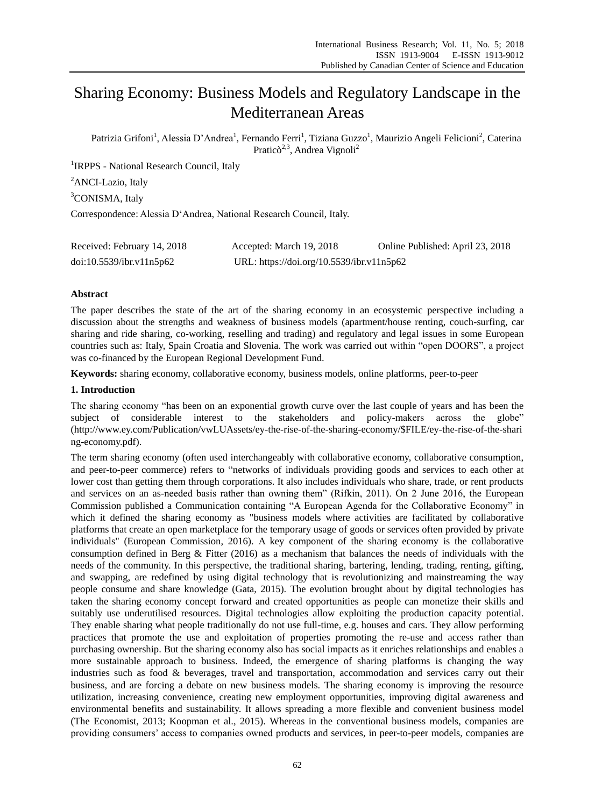# Sharing Economy: Business Models and Regulatory Landscape in the Mediterranean Areas

Patrizia Grifoni<sup>1</sup>, Alessia D'Andrea<sup>1</sup>, Fernando Ferri<sup>1</sup>, Tiziana Guzzo<sup>1</sup>, Maurizio Angeli Felicioni<sup>2</sup>, Caterina Pratic  $\delta^{2,3}$ , Andrea Vignoli<sup>2</sup>

<sup>1</sup>IRPPS - National Research Council, Italy <sup>2</sup>ANCI-Lazio, Italy

<sup>3</sup>CONISMA, Italy

Correspondence: Alessia D'Andrea, National Research Council, Italy.

| Received: February 14, 2018 | Accepted: March 19, 2018                  | Online Published: April 23, 2018 |
|-----------------------------|-------------------------------------------|----------------------------------|
| doi:10.5539/ibr.v11n5p62    | URL: https://doi.org/10.5539/ibr.v11n5p62 |                                  |

# **Abstract**

The paper describes the state of the art of the sharing economy in an ecosystemic perspective including a discussion about the strengths and weakness of business models (apartment/house renting, couch-surfing, car sharing and ride sharing, co-working, reselling and trading) and regulatory and legal issues in some European countries such as: Italy, Spain Croatia and Slovenia. The work was carried out within "open DOORS", a project was co-financed by the European Regional Development Fund.

**Keywords:** sharing economy, collaborative economy, business models, online platforms, peer-to-peer

# **1. Introduction**

The sharing economy "has been on an exponential growth curve over the last couple of years and has been the subject of considerable interest to the stakeholders and policy-makers across the globe" (http://www.ey.com/Publication/vwLUAssets/ey-the-rise-of-the-sharing-economy/\$FILE/ey-the-rise-of-the-shari ng-economy.pdf).

The term sharing economy (often used interchangeably with collaborative economy, collaborative consumption, and peer-to-peer commerce) refers to "networks of individuals providing goods and services to each other at lower cost than getting them through corporations. It also includes individuals who share, trade, or rent products and services on an as-needed basis rather than owning them" (Rifkin, 2011). On 2 June 2016, the European Commission published a Communication containing "A European Agenda for the Collaborative Economy" in which it defined the sharing economy as "business models where activities are facilitated by collaborative platforms that create an open marketplace for the temporary usage of goods or services often provided by private individuals" (European Commission, 2016). A key component of the sharing economy is the collaborative consumption defined in Berg & Fitter (2016) as a mechanism that balances the needs of individuals with the needs of the community. In this perspective, the traditional sharing, bartering, lending, trading, renting, gifting, and swapping, are redefined by using digital technology that is revolutionizing and mainstreaming the way people consume and share knowledge (Gata, 2015). The evolution brought about by digital technologies has taken the sharing economy concept forward and created opportunities as people can monetize their skills and suitably use underutilised resources. Digital technologies allow exploiting the production capacity potential. They enable sharing what people traditionally do not use full-time, e.g. houses and cars. They allow performing practices that promote the use and exploitation of properties promoting the re-use and access rather than purchasing ownership. But the sharing economy also has social impacts as it enriches relationships and enables a more sustainable approach to business. Indeed, the emergence of sharing platforms is changing the way industries such as food & beverages, travel and transportation, accommodation and services carry out their business, and are forcing a debate on new business models. The sharing economy is improving the resource utilization, increasing convenience, creating new employment opportunities, improving digital awareness and environmental benefits and sustainability. It allows spreading a more flexible and convenient business model (The Economist, 2013; Koopman et al., 2015). Whereas in the conventional business models, companies are providing consumers' access to companies owned products and services, in peer-to-peer models, companies are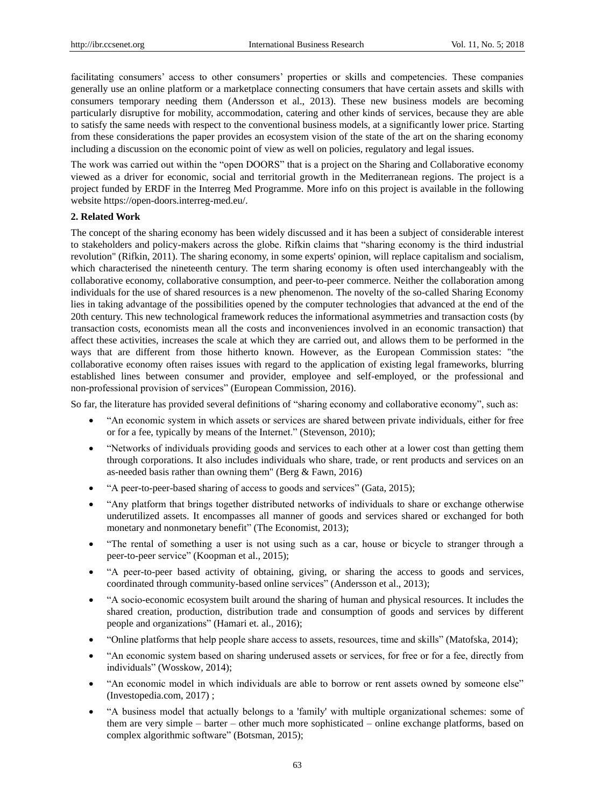facilitating consumers' access to other consumers' properties or skills and competencies. These companies generally use an online platform or a marketplace connecting consumers that have certain assets and skills with consumers temporary needing them (Andersson et al., 2013). These new business models are becoming particularly disruptive for mobility, accommodation, catering and other kinds of services, because they are able to satisfy the same needs with respect to the conventional business models, at a significantly lower price. Starting from these considerations the paper provides an ecosystem vision of the state of the art on the sharing economy including a discussion on the economic point of view as well on policies, regulatory and legal issues.

The work was carried out within the "open DOORS" that is a project on the Sharing and Collaborative economy viewed as a driver for economic, social and territorial growth in the Mediterranean regions. The project is a project funded by ERDF in the Interreg Med Programme. More info on this project is available in the following website https://open-doors.interreg-med.eu/.

# **2. Related Work**

The concept of the sharing economy has been widely discussed and it has been a subject of considerable interest to stakeholders and policy-makers across the globe. Rifkin claims that "sharing economy is the third industrial revolution" (Rifkin, 2011). The sharing economy, in some experts' opinion, will replace capitalism and socialism, which characterised the nineteenth century. The term sharing economy is often used interchangeably with the collaborative economy, collaborative consumption, and peer-to-peer commerce. Neither the collaboration among individuals for the use of shared resources is a new phenomenon. The novelty of the so-called Sharing Economy lies in taking advantage of the possibilities opened by the computer technologies that advanced at the end of the 20th century. This new technological framework reduces the informational asymmetries and transaction costs (by transaction costs, economists mean all the costs and inconveniences involved in an economic transaction) that affect these activities, increases the scale at which they are carried out, and allows them to be performed in the ways that are different from those hitherto known. However, as the European Commission states: "the collaborative economy often raises issues with regard to the application of existing legal frameworks, blurring established lines between consumer and provider, employee and self-employed, or the professional and non-professional provision of services" (European Commission, 2016).

So far, the literature has provided several definitions of "sharing economy and collaborative economy", such as:

- ―An economic system in which assets or services are shared between private individuals, either for free or for a fee, typically by means of the Internet." (Stevenson, 2010);
- ―Networks of individuals providing goods and services to each other at a lower cost than getting them through corporations. It also includes individuals who share, trade, or rent products and services on an as-needed basis rather than owning them" (Berg & Fawn, 2016)
- "A peer-to-peer-based sharing of access to goods and services" (Gata, 2015);
- ―Any platform that brings together distributed networks of individuals to share or exchange otherwise underutilized assets. It encompasses all manner of goods and services shared or exchanged for both monetary and nonmonetary benefit" (The Economist, 2013);
- ―The rental of something a user is not using such as a car, house or bicycle to stranger through a peer-to-peer service" (Koopman et al., 2015);
- ―A peer-to-peer based activity of obtaining, giving, or sharing the access to goods and services, coordinated through community-based online services" (Andersson et al., 2013);
- ―A socio-economic ecosystem built around the sharing of human and physical resources. It includes the shared creation, production, distribution trade and consumption of goods and services by different people and organizations" (Hamari et. al., 2016);
- ―Online platforms that help people share access to assets, resources, time and skills‖ (Matofska, 2014);
- ―An economic system based on sharing underused assets or services, for free or for a fee, directly from individuals" (Wosskow, 2014);
- "An economic model in which individuals are able to borrow or rent assets owned by someone else" (Investopedia.com, 2017) ;
- ―A business model that actually belongs to a 'family' with multiple organizational schemes: some of them are very simple – barter – other much more sophisticated – online exchange platforms, based on complex algorithmic software" (Botsman, 2015);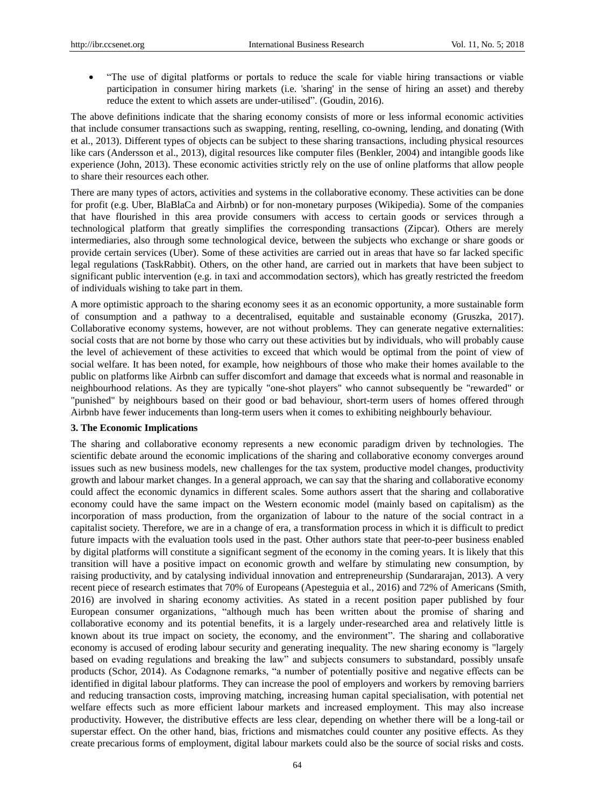―The use of digital platforms or portals to reduce the scale for viable hiring transactions or viable participation in consumer hiring markets (i.e. 'sharing' in the sense of hiring an asset) and thereby reduce the extent to which assets are under-utilised". (Goudin, 2016).

The above definitions indicate that the sharing economy consists of more or less informal economic activities that include consumer transactions such as swapping, renting, reselling, co-owning, lending, and donating (With et al., 2013). Different types of objects can be subject to these sharing transactions, including physical resources like cars (Andersson et al., 2013), digital resources like computer files (Benkler, 2004) and intangible goods like experience (John, 2013). These economic activities strictly rely on the use of online platforms that allow people to share their resources each other.

There are many types of actors, activities and systems in the collaborative economy. These activities can be done for profit (e.g. Uber, BlaBlaCa and Airbnb) or for non-monetary purposes (Wikipedia). Some of the companies that have flourished in this area provide consumers with access to certain goods or services through a technological platform that greatly simplifies the corresponding transactions (Zipcar). Others are merely intermediaries, also through some technological device, between the subjects who exchange or share goods or provide certain services (Uber). Some of these activities are carried out in areas that have so far lacked specific legal regulations (TaskRabbit). Others, on the other hand, are carried out in markets that have been subject to significant public intervention (e.g. in taxi and accommodation sectors), which has greatly restricted the freedom of individuals wishing to take part in them.

A more optimistic approach to the sharing economy sees it as an economic opportunity, a more sustainable form of consumption and a pathway to a decentralised, equitable and sustainable economy (Gruszka, 2017). Collaborative economy systems, however, are not without problems. They can generate negative externalities: social costs that are not borne by those who carry out these activities but by individuals, who will probably cause the level of achievement of these activities to exceed that which would be optimal from the point of view of social welfare. It has been noted, for example, how neighbours of those who make their homes available to the public on platforms like Airbnb can suffer discomfort and damage that exceeds what is normal and reasonable in neighbourhood relations. As they are typically "one-shot players" who cannot subsequently be "rewarded" or "punished" by neighbours based on their good or bad behaviour, short-term users of homes offered through Airbnb have fewer inducements than long-term users when it comes to exhibiting neighbourly behaviour.

### **3. The Economic Implications**

The sharing and collaborative economy represents a new economic paradigm driven by technologies. The scientific debate around the economic implications of the sharing and collaborative economy converges around issues such as new business models, new challenges for the tax system, productive model changes, productivity growth and labour market changes. In a general approach, we can say that the sharing and collaborative economy could affect the economic dynamics in different scales. Some authors assert that the sharing and collaborative economy could have the same impact on the Western economic model (mainly based on capitalism) as the incorporation of mass production, from the organization of labour to the nature of the social contract in a capitalist society. Therefore, we are in a change of era, a transformation process in which it is difficult to predict future impacts with the evaluation tools used in the past. Other authors state that peer-to-peer business enabled by digital platforms will constitute a significant segment of the economy in the coming years. It is likely that this transition will have a positive impact on economic growth and welfare by stimulating new consumption, by raising productivity, and by catalysing individual innovation and entrepreneurship (Sundararajan, 2013). A very recent piece of research estimates that 70% of Europeans (Apesteguia et al., 2016) and 72% of Americans (Smith, 2016) are involved in sharing economy activities. As stated in a recent position paper published by four European consumer organizations, "although much has been written about the promise of sharing and collaborative economy and its potential benefits, it is a largely under-researched area and relatively little is known about its true impact on society, the economy, and the environment". The sharing and collaborative economy is accused of eroding labour security and generating inequality. The new sharing economy is "largely based on evading regulations and breaking the law" and subjects consumers to substandard, possibly unsafe products (Schor, 2014). As Codagnone remarks, "a number of potentially positive and negative effects can be identified in digital labour platforms. They can increase the pool of employers and workers by removing barriers and reducing transaction costs, improving matching, increasing human capital specialisation, with potential net welfare effects such as more efficient labour markets and increased employment. This may also increase productivity. However, the distributive effects are less clear, depending on whether there will be a long-tail or superstar effect. On the other hand, bias, frictions and mismatches could counter any positive effects. As they create precarious forms of employment, digital labour markets could also be the source of social risks and costs.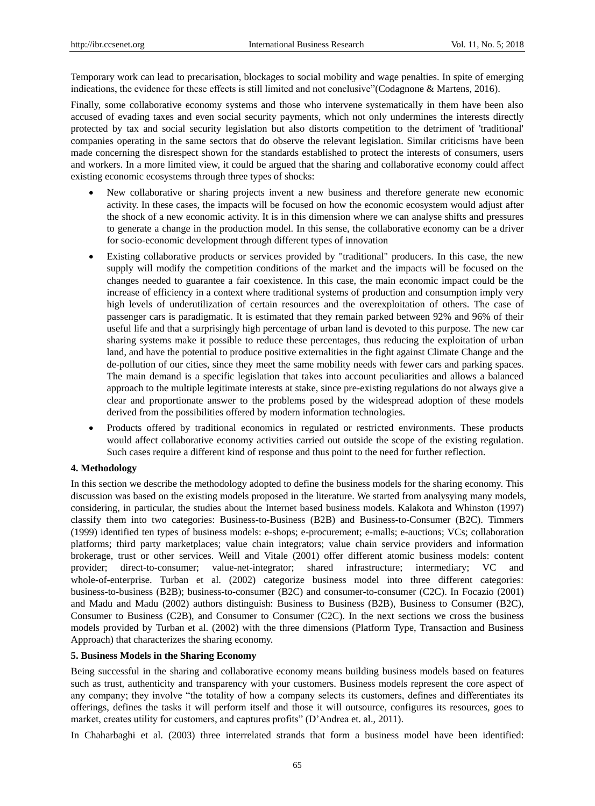Temporary work can lead to precarisation, blockages to social mobility and wage penalties. In spite of emerging indications, the evidence for these effects is still limited and not conclusive" (Codagnone & Martens, 2016).

Finally, some collaborative economy systems and those who intervene systematically in them have been also accused of evading taxes and even social security payments, which not only undermines the interests directly protected by tax and social security legislation but also distorts competition to the detriment of 'traditional' companies operating in the same sectors that do observe the relevant legislation. Similar criticisms have been made concerning the disrespect shown for the standards established to protect the interests of consumers, users and workers. In a more limited view, it could be argued that the sharing and collaborative economy could affect existing economic ecosystems through three types of shocks:

- New collaborative or sharing projects invent a new business and therefore generate new economic activity. In these cases, the impacts will be focused on how the economic ecosystem would adjust after the shock of a new economic activity. It is in this dimension where we can analyse shifts and pressures to generate a change in the production model. In this sense, the collaborative economy can be a driver for socio-economic development through different types of innovation
- Existing collaborative products or services provided by "traditional" producers. In this case, the new supply will modify the competition conditions of the market and the impacts will be focused on the changes needed to guarantee a fair coexistence. In this case, the main economic impact could be the increase of efficiency in a context where traditional systems of production and consumption imply very high levels of underutilization of certain resources and the overexploitation of others. The case of passenger cars is paradigmatic. It is estimated that they remain parked between 92% and 96% of their useful life and that a surprisingly high percentage of urban land is devoted to this purpose. The new car sharing systems make it possible to reduce these percentages, thus reducing the exploitation of urban land, and have the potential to produce positive externalities in the fight against Climate Change and the de-pollution of our cities, since they meet the same mobility needs with fewer cars and parking spaces. The main demand is a specific legislation that takes into account peculiarities and allows a balanced approach to the multiple legitimate interests at stake, since pre-existing regulations do not always give a clear and proportionate answer to the problems posed by the widespread adoption of these models derived from the possibilities offered by modern information technologies.
- Products offered by traditional economics in regulated or restricted environments. These products would affect collaborative economy activities carried out outside the scope of the existing regulation. Such cases require a different kind of response and thus point to the need for further reflection.

# **4. Methodology**

In this section we describe the methodology adopted to define the business models for the sharing economy. This discussion was based on the existing models proposed in the literature. We started from analysying many models, considering, in particular, the studies about the Internet based business models. Kalakota and Whinston (1997) classify them into two categories: Business-to-Business (B2B) and Business-to-Consumer (B2C). Timmers (1999) identified ten types of business models: e-shops; e-procurement; e-malls; e-auctions; VCs; collaboration platforms; third party marketplaces; value chain integrators; value chain service providers and information brokerage, trust or other services. Weill and Vitale (2001) offer different atomic business models: content provider; direct-to-consumer; value-net-integrator; shared infrastructure; intermediary; VC and whole-of-enterprise. Turban et al. (2002) categorize business model into three different categories: business-to-business (B2B); business-to-consumer (B2C) and consumer-to-consumer (C2C). In Focazio (2001) and Madu and Madu (2002) authors distinguish: Business to Business (B2B), Business to Consumer (B2C), Consumer to Business (C2B), and Consumer to Consumer (C2C). In the next sections we cross the business models provided by Turban et al. (2002) with the three dimensions (Platform Type, Transaction and Business Approach) that characterizes the sharing economy.

# **5. Business Models in the Sharing Economy**

Being successful in the sharing and collaborative economy means building business models based on features such as trust, authenticity and transparency with your customers. Business models represent the core aspect of any company; they involve "the totality of how a company selects its customers, defines and differentiates its offerings, defines the tasks it will perform itself and those it will outsource, configures its resources, goes to market, creates utility for customers, and captures profits" (D'Andrea et. al., 2011).

In Chaharbaghi et al. (2003) three interrelated strands that form a business model have been identified: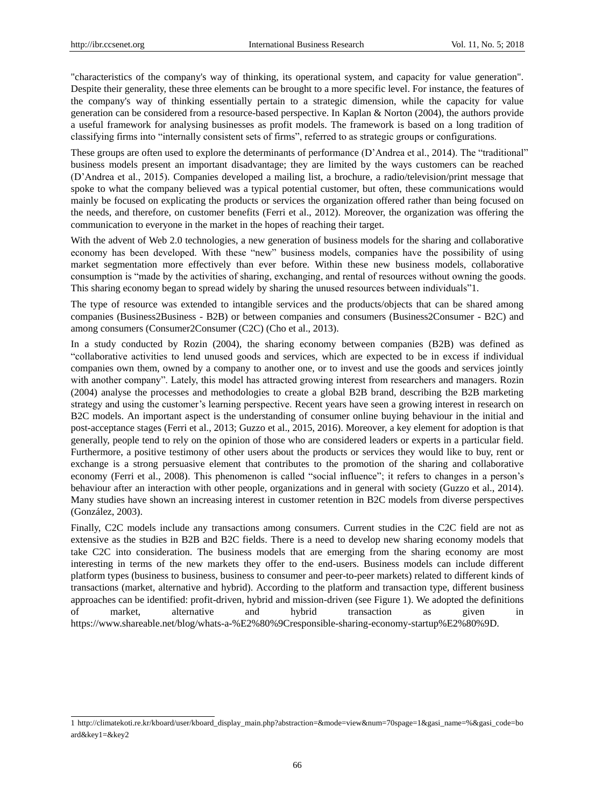"characteristics of the company's way of thinking, its operational system, and capacity for value generation". Despite their generality, these three elements can be brought to a more specific level. For instance, the features of the company's way of thinking essentially pertain to a strategic dimension, while the capacity for value generation can be considered from a resource-based perspective. In Kaplan & Norton (2004), the authors provide a useful framework for analysing businesses as profit models. The framework is based on a long tradition of classifying firms into "internally consistent sets of firms", referred to as strategic groups or configurations.

These groups are often used to explore the determinants of performance (D'Andrea et al., 2014). The "traditional" business models present an important disadvantage; they are limited by the ways customers can be reached (D'Andrea et al., 2015). Companies developed a mailing list, a brochure, a radio/television/print message that spoke to what the company believed was a typical potential customer, but often, these communications would mainly be focused on explicating the products or services the organization offered rather than being focused on the needs, and therefore, on customer benefits (Ferri et al., 2012). Moreover, the organization was offering the communication to everyone in the market in the hopes of reaching their target.

With the advent of Web 2.0 technologies, a new generation of business models for the sharing and collaborative economy has been developed. With these "new" business models, companies have the possibility of using market segmentation more effectively than ever before. Within these new business models, collaborative consumption is "made by the activities of sharing, exchanging, and rental of resources without owning the goods. This sharing economy began to spread widely by sharing the unused resources between individuals"1.

The type of resource was extended to intangible services and the products/objects that can be shared among companies (Business2Business - B2B) or between companies and consumers (Business2Consumer - B2C) and among consumers (Consumer2Consumer (C2C) (Cho et al., 2013).

In a study conducted by Rozin (2004), the sharing economy between companies (B2B) was defined as ―collaborative activities to lend unused goods and services, which are expected to be in excess if individual companies own them, owned by a company to another one, or to invest and use the goods and services jointly with another company". Lately, this model has attracted growing interest from researchers and managers. Rozin (2004) analyse the processes and methodologies to create a global B2B brand, describing the B2B marketing strategy and using the customer's learning perspective. Recent years have seen a growing interest in research on B2C models. An important aspect is the understanding of consumer online buying behaviour in the initial and post-acceptance stages (Ferri et al., 2013; Guzzo et al., 2015, 2016). Moreover, a key element for adoption is that generally, people tend to rely on the opinion of those who are considered leaders or experts in a particular field. Furthermore, a positive testimony of other users about the products or services they would like to buy, rent or exchange is a strong persuasive element that contributes to the promotion of the sharing and collaborative economy (Ferri et al., 2008). This phenomenon is called "social influence"; it refers to changes in a person's behaviour after an interaction with other people, organizations and in general with society (Guzzo et al., 2014). Many studies have shown an increasing interest in customer retention in B2C models from diverse perspectives (González, 2003).

Finally, C2C models include any transactions among consumers. Current studies in the C2C field are not as extensive as the studies in B2B and B2C fields. There is a need to develop new sharing economy models that take C2C into consideration. The business models that are emerging from the sharing economy are most interesting in terms of the new markets they offer to the end-users. Business models can include different platform types (business to business, business to consumer and peer-to-peer markets) related to different kinds of transactions (market, alternative and hybrid). According to the platform and transaction type, different business approaches can be identified: profit-driven, hybrid and mission-driven (see Figure 1). We adopted the definitions of market, alternative and hybrid transaction as given in https://www.shareable.net/blog/whats-a-%E2%80%9Cresponsible-sharing-economy-startup%E2%80%9D.

 1 http://climatekoti.re.kr/kboard/user/kboard\_display\_main.php?abstraction=&mode=view&num=70spage=1&gasi\_name=%&gasi\_code=bo ard&key1=&key2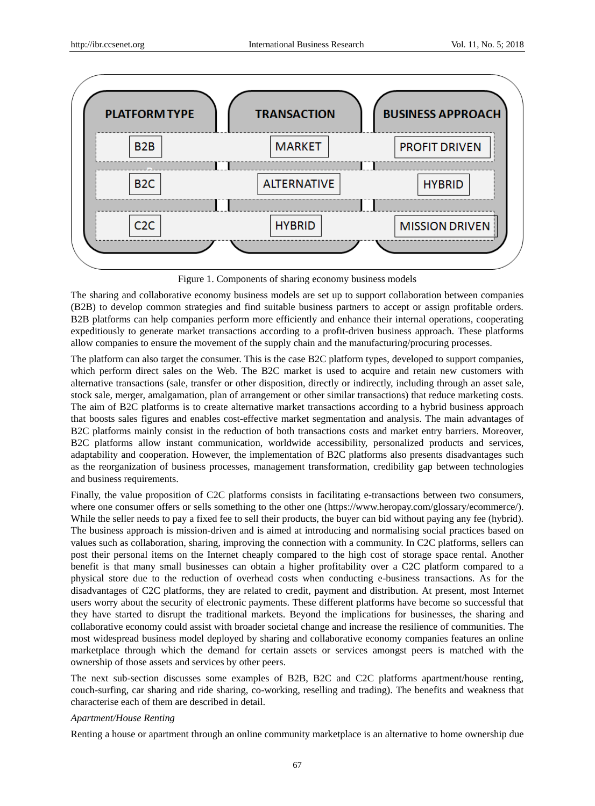

Figure 1. Components of sharing economy business models

The sharing and collaborative economy business models are set up to support collaboration between companies (B2B) to develop common strategies and find suitable business partners to accept or assign profitable orders. B2B platforms can help companies perform more efficiently and enhance their internal operations, cooperating expeditiously to generate market transactions according to a profit-driven business approach. These platforms allow companies to ensure the movement of the supply chain and the manufacturing/procuring processes.

The platform can also target the consumer. This is the case B2C platform types, developed to support companies, which perform direct sales on the Web. The B2C market is used to acquire and retain new customers with alternative transactions (sale, transfer or other disposition, directly or indirectly, including through an asset sale, stock sale, merger, amalgamation, plan of arrangement or other similar transactions) that reduce marketing costs. The aim of B2C platforms is to create alternative market transactions according to a hybrid business approach that boosts sales figures and enables cost-effective market segmentation and analysis. The main advantages of B2C platforms mainly consist in the reduction of both transactions costs and market entry barriers. Moreover, B2C platforms allow instant communication, worldwide accessibility, personalized products and services, adaptability and cooperation. However, the implementation of B2C platforms also presents disadvantages such as the reorganization of business processes, management transformation, credibility gap between technologies and business requirements.

Finally, the value proposition of C2C platforms consists in facilitating e-transactions between two consumers, where one consumer offers or sells something to the other one [\(https://www.heropay.com/glossary/ecommerce/\)](https://www.heropay.com/glossary/ecommerce/). While the seller needs to pay a fixed fee to sell their products, the buyer can bid without paying any fee (hybrid). The business approach is mission-driven and is aimed at introducing and normalising social practices based on values such as collaboration, sharing, improving the connection with a community. In C2C platforms, sellers can post their personal items on the Internet cheaply compared to the high cost of storage space rental. Another benefit is that many small businesses can obtain a higher profitability over a C2C platform compared to a physical store due to the reduction of overhead costs when conducting e-business transactions. As for the disadvantages of C2C platforms, they are related to credit, payment and distribution. At present, most Internet users worry about the security of electronic payments. These different platforms have become so successful that they have started to disrupt the traditional markets. Beyond the implications for businesses, the sharing and collaborative economy could assist with broader societal change and increase the resilience of communities. The most widespread business model deployed by sharing and collaborative economy companies features an online marketplace through which the demand for certain assets or services amongst peers is matched with the ownership of those assets and services by other peers.

The next sub-section discusses some examples of B2B, B2C and C2C platforms apartment/house renting, couch-surfing, car sharing and ride sharing, co-working, reselling and trading). The benefits and weakness that characterise each of them are described in detail.

# *Apartment/House Renting*

Renting a house or apartment through an online community marketplace is an alternative to home ownership due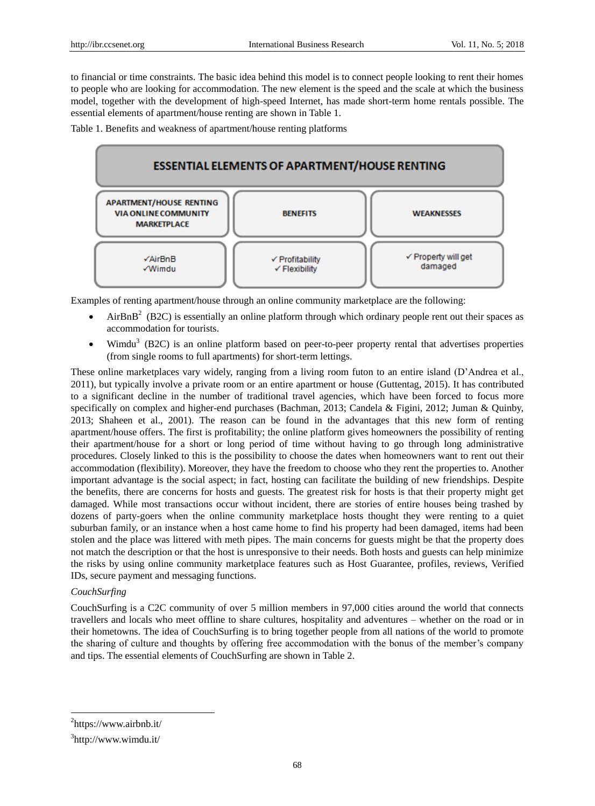to financial or time constraints. The basic idea behind this model is to connect people looking to rent their homes to people who are looking for accommodation. The new element is the speed and the scale at which the business model, together with the development of high-speed Internet, has made short-term home rentals possible. The essential elements of apartment/house renting are shown in Table 1.

Table 1. Benefits and weakness of apartment/house renting platforms



Examples of renting apartment/house through an online community marketplace are the following:

- [AirBnB](http://www.moneycrashers.com/airbnb-reviews/)<sup>2</sup> (B2C) is essentially an online platform through which ordinary people rent out their spaces as accommodation for tourists.
- Wimdu<sup>3</sup> (B2C) is an online platform based on peer-to-peer property rental that advertises properties (from single rooms to full apartments) for short-term lettings.

These online marketplaces vary widely, ranging from a living room futon to an entire island (D'Andrea et al., 2011), but typically involve a private room or an entire apartment or house (Guttentag, 2015). It has contributed to a significant decline in the number of traditional travel agencies, which have been forced to focus more specifically on complex and higher-end purchases (Bachman, 2013; Candela & Figini, 2012; Juman & Quinby, 2013; Shaheen et al., 2001). The reason can be found in the advantages that this new form of renting apartment/house offers. The first is profitability; the online platform gives homeowners the possibility of renting their apartment/house for a short or long period of time without having to go through long administrative procedures. Closely linked to this is the possibility to choose the dates when homeowners want to rent out their accommodation (flexibility). Moreover, they have the freedom to choose who they rent the properties to. Another important advantage is the social aspect; in fact, hosting can facilitate the building of new friendships. Despite the benefits, there are concerns for hosts and guests. The greatest risk for hosts is that their property might get damaged. While most transactions occur without incident, there are stories of entire houses being trashed by dozens of party-goers when the online community marketplace hosts thought they were renting to a quiet suburban family, or an instance when a host came home to find his property had been damaged, items had been stolen and the place was littered with meth pipes. The main concerns for guests might be that the property does not match the description or that the host is unresponsive to their needs. Both hosts and guests can help minimize the risks by using online community marketplace features such as Host Guarantee, profiles, reviews, Verified IDs, secure payment and messaging functions.

# *CouchSurfing*

CouchSurfing is a C2C community of over 5 million members in 97,000 cities around the world that connects travellers and locals who meet offline to share cultures, hospitality and adventures – whether on the road or in their hometowns. The idea of CouchSurfing is to bring together people from all nations of the world to promote the sharing of culture and thoughts by offering free accommodation with the bonus of the member's company and tips. The essential elements of CouchSurfing are shown in Table 2.

-

<sup>&</sup>lt;sup>2</sup>https://www.airbnb.it/

<sup>3</sup> http://www.wimdu.it/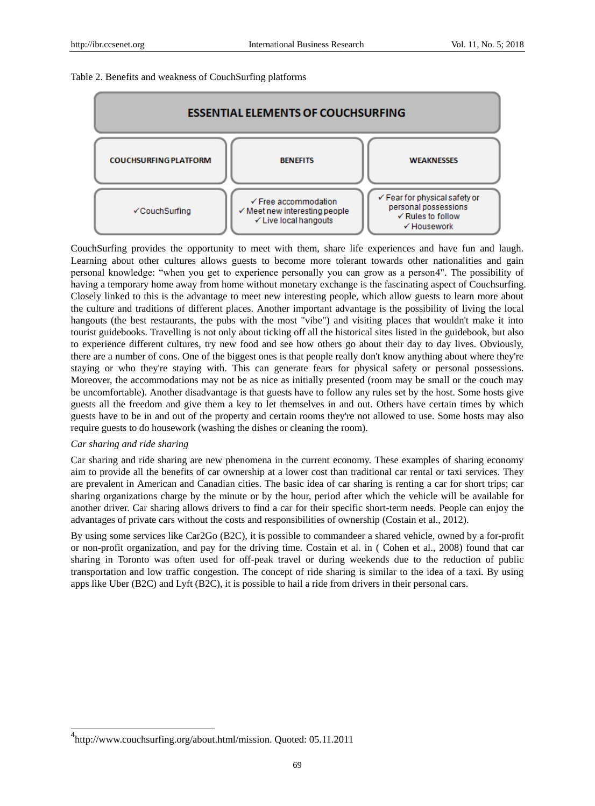# Table 2. Benefits and weakness of CouchSurfing platforms



CouchSurfing provides the opportunity to meet with them, share life experiences and have fun and laugh. Learning about other cultures allows guests to become more tolerant towards other nationalities and gain personal knowledge: "when you get to experience personally you can grow as a person4". The possibility of having a temporary home away from home without monetary exchange is the fascinating aspect of Couchsurfing. Closely linked to this is the advantage to meet new interesting people, which allow guests to learn more about the culture and traditions of different places. Another important advantage is the possibility of living the local hangouts (the best restaurants, the pubs with the most "vibe") and visiting places that wouldn't make it into tourist guidebooks. Travelling is not only about ticking off all the historical sites listed in the guidebook, but also to experience different cultures, try new food and see how others go about their day to day lives. Obviously, there are a number of cons. One of the biggest ones is that people really don't know anything about where they're staying or who they're staying with. This can generate fears for physical safety or personal possessions. Moreover, the accommodations may not be as nice as initially presented (room may be small or the couch may be uncomfortable). Another disadvantage is that guests have to follow any rules set by the host. Some hosts give guests all the freedom and give them a key to let themselves in and out. Others have certain times by which guests have to be in and out of the property and certain rooms they're not allowed to use. Some hosts may also require guests to do housework (washing the dishes or cleaning the room).

## *Car sharing and ride sharing*

 $\overline{a}$ 

Car sharing and ride sharing are new phenomena in the current economy. These examples of sharing economy aim to provide all the benefits of car ownership at a lower cost than traditional car rental or taxi services. They are prevalent in American and Canadian cities. The basic idea of car sharing is renting a car for short trips; car sharing organizations charge by the minute or by the hour, period after which the vehicle will be available for another driver. Car sharing allows drivers to find a car for their specific short-term needs. People can enjoy the advantages of private cars without the costs and responsibilities of ownership (Costain et al., 2012).

By using some services like [Car2Go](http://www.moneycrashers.com/car2go-review/) (B2C), it is possible to commandeer a shared vehicle, owned by a for-profit or non-profit organization, and pay for the driving time. Costain et al. in ( Cohen et al., 2008) found that car sharing in Toronto was often used for off-peak travel or during weekends due to the reduction of public transportation and low traffic congestion. The concept of ride sharing is similar to the idea of a taxi. By using apps like [Uber](http://www.moneycrashers.com/uber-review/) (B2C) and [Lyft](http://www.moneycrashers.com/lyft-review/) (B2C), it is possible to hail a ride from drivers in their personal cars.

<sup>4</sup> http://www.couchsurfing.org/about.html/mission. Quoted: 05.11.2011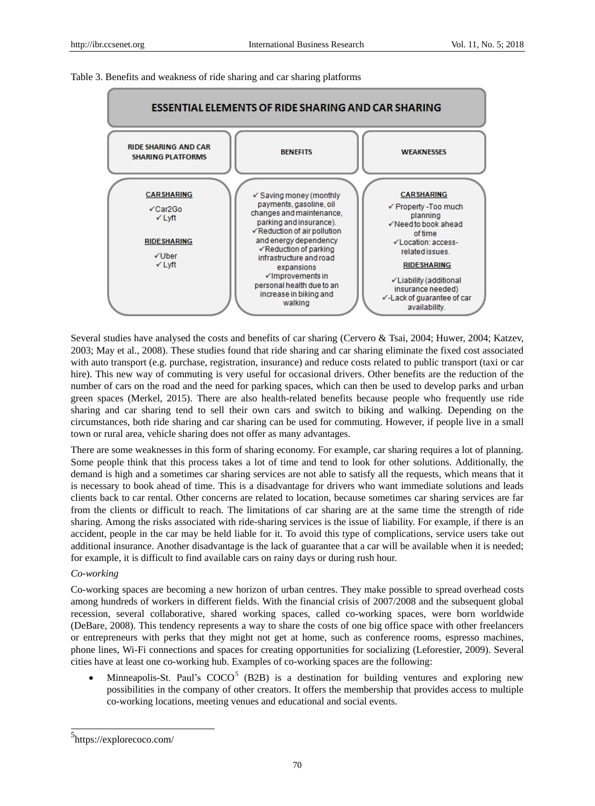



Several studies have analysed the costs and benefits of car sharing (Cervero & Tsai, 2004; Huwer, 2004; Katzev, 2003; May et al., 2008). These studies found that ride sharing and car sharing eliminate the fixed cost associated with auto transport (e.g. purchase, registration, insurance) and reduce costs related to public transport (taxi or car hire). This new way of commuting is very useful for occasional drivers. Other benefits are the reduction of the number of cars on the road and the need for parking spaces, which can then be used to develop parks and urban green spaces (Merkel, 2015). There are also health-related benefits because people who frequently use ride sharing and car sharing tend to sell their own cars and switch to biking and walking. Depending on the circumstances, both ride sharing and car sharing can be used for commuting. However, if people live in a small town or rural area, vehicle sharing does not offer as many advantages.

There are some weaknesses in this form of sharing economy. For example, car sharing requires a lot of planning. Some people think that this process takes a lot of time and tend to look for other solutions. Additionally, the demand is high and a sometimes car sharing services are not able to satisfy all the requests, which means that it is necessary to book ahead of time. This is a disadvantage for drivers who want immediate solutions and leads clients back to car rental. Other concerns are related to location, because sometimes car sharing services are far from the clients or difficult to reach. The limitations of car sharing are at the same time the strength of ride sharing. Among the risks associated with ride-sharing services is the issue of liability. For example, if there is an accident, people in the car may be held liable for it. To avoid this type of complications, service users take out additional insurance. Another disadvantage is the lack of guarantee that a car will be available when it is needed; for example, it is difficult to find available cars on rainy days or during rush hour.

### *Co-working*

Co-working spaces are becoming a new horizon of urban centres. They make possible to spread overhead costs among hundreds of workers in different fields. With the financial crisis of 2007/2008 and the subsequent global recession, several collaborative, shared working spaces, called co-working spaces, were born worldwide (DeBare, 2008). This tendency represents a way to share the costs of one big office space with other freelancers or entrepreneurs with perks that they might not get at home, such as conference rooms, espresso machines, phone lines, Wi-Fi connections and spaces for creating opportunities for socializing (Leforestier, 2009). Several cities have at least one co-working hub. Examples of co-working spaces are the following:

• Minneapolis-St. Paul's COCO<sup>5</sup> (B2B) is a destination for building ventures and exploring new possibilities in the company of other creators. It offers the membership that provides access to multiple co-working locations, meeting venues and educational and social events.

<sup>5&</sup>lt;br><https://explorecoco.com/>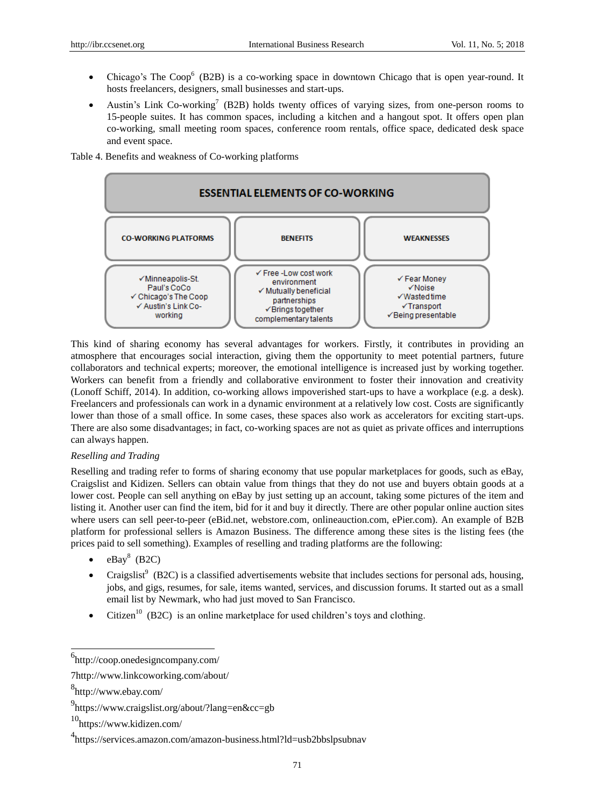- Chicago's [The Coop](http://coop.onedesigncompany.com/)<sup>6</sup> (B2B) is a co-working space in downtown Chicago that is open year-round. It hosts freelancers, designers, small businesses and start-ups.
- Austin's [Link Co-working](http://www.linkcoworking.com/)<sup>7</sup> (B2B) holds twenty offices of varying sizes, from one-person rooms to 15-people suites. It has common spaces, including a kitchen and a hangout spot. It offers [open plan](http://linkcoworking.com/locations/link-too/)  [co-working,](http://linkcoworking.com/locations/link-too/) [small meeting room spaces,](http://linkcoworking.com/austin-meeting-room-rentals/) [conference room rentals,](http://linkcoworking.com/austin-conference-room-rentals/) [office space, dedicated desk space](http://linkcoworking.com/locations/link-too/) and [event space.](http://linkcoworking.com/austin-event-space-rentals/)

Table 4. Benefits and weakness of Co-working platforms



This kind of sharing economy has several advantages for workers. Firstly, it contributes in providing an atmosphere that encourages social interaction, giving them the opportunity to meet potential partners, future collaborators and technical experts; moreover, the emotional intelligence is increased just by working together. Workers can benefit from a friendly and collaborative environment to foster their innovation and creativity (Lonoff Schiff, 2014). In addition, co-working allows impoverished start-ups to have a workplace (e.g. a desk). Freelancers and professionals can work in a dynamic environment at a relatively low cost. Costs are significantly lower than those of a small office. In some cases, these spaces also work as accelerators for exciting start-ups. There are also some disadvantages; in fact, co-working spaces are not as quiet as private offices and interruptions can always happen.

## *Reselling and Trading*

Reselling and trading refer to forms of sharing economy that use popular marketplaces for goods, such as eBay, Craigslist and Kidizen. Sellers can obtain value from things that they do not use and buyers obtain goods at a lower cost. People can sell anything on eBay by just setting up an account, taking some pictures of the item and listing it. Another user can find the item, bid for it and buy it directly. There are other popular online auction sites where users can sell peer-to-peer (eBid.net, webstore.com, onlineauction.com, ePier.com). An example of B2B platform for professional sellers is Amazon [Business.](https://services.amazon.com/amazon-business.html?ld=usb2bbslpsubnav) The difference among these sites is the listing fees (the prices paid to sell something). Examples of reselling and trading platforms are the following:

- $eBay<sup>8</sup>$  (B2C)
- Craigslist<sup>9</sup> (B2C) is a classified advertisements website that includes sections for personal ads, housing, jobs, and gigs, resumes, for sale, items wanted, services, and discussion forums. It started out as a small email list by Newmark, who had just moved to San Francisco.
- [Citizen](https://www.kidizen.com/)<sup>10</sup> (B2C) is an online marketplace for used children's toys and clothing.

 $\overline{a}$ 

<sup>6</sup> <http://coop.onedesigncompany.com/>

[<sup>7</sup>http://www.linkcoworking.com/about/](http://www.linkcoworking.com/about/)

<sup>8</sup> http://www.ebay.com/

<sup>&</sup>lt;sup>9</sup>https://www.craigslist.org/about/?lang=en&cc=gb

<sup>10</sup><https://www.kidizen.com/>

<sup>4</sup> https://services.amazon.com/amazon-business.html?ld=usb2bbslpsubnav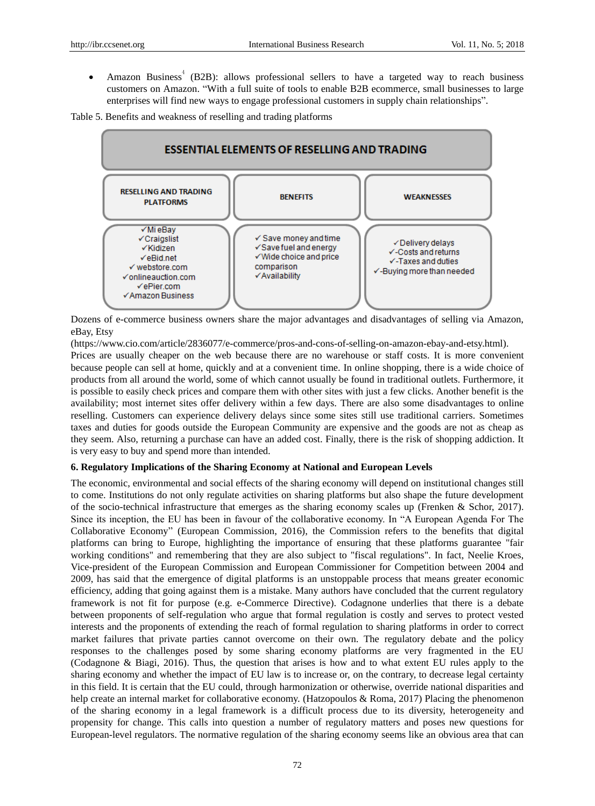• Amazon [Business](https://services.amazon.com/amazon-business.html?ld=usb2bbslpsubnav)<sup>4</sup> (B2B): allows professional sellers to have a targeted way to reach business customers on Amazon. "With a full suite of tools to enable B2B ecommerce, small businesses to large enterprises will find new ways to engage professional customers in supply chain relationships".

Table 5. Benefits and weakness of reselling and trading platforms



Dozens of e-commerce business owners share the major advantages and disadvantages of selling via Amazon, eBay, Etsy

(https://www.cio.com/article/2836077/e-commerce/pros-and-cons-of-selling-on-amazon-ebay-and-etsy.html).

Prices are usually cheaper on the web because there are no warehouse or staff costs. It is more convenient because people can sell at home, quickly and at a convenient time. In online shopping, there is a wide choice of products from all around the world, some of which cannot usually be found in traditional outlets. Furthermore, it is possible to easily check prices and compare them with other sites with just a few clicks. Another benefit is the availability; most internet sites offer delivery within a few days. There are also some disadvantages to online reselling. Customers can experience delivery delays since some sites still use traditional carriers. Sometimes taxes and duties for goods outside the European Community are expensive and the goods are not as cheap as they seem. Also, returning a purchase can have an added cost. Finally, there is the risk of shopping addiction. It is very easy to buy and spend more than intended.

# **6. Regulatory Implications of the Sharing Economy at National and European Levels**

The economic, environmental and social effects of the sharing economy will depend on institutional changes still to come. Institutions do not only regulate activities on sharing platforms but also shape the future development of the socio-technical infrastructure that emerges as the sharing economy scales up (Frenken & Schor, 2017). Since its inception, the EU has been in favour of the collaborative economy. In "A European Agenda For The Collaborative Economy‖ (European Commission, 2016), the Commission refers to the benefits that digital platforms can bring to Europe, highlighting the importance of ensuring that these platforms guarantee "fair working conditions" and remembering that they are also subject to "fiscal regulations". In fact, Neelie Kroes, Vice-president of the European Commission and European Commissioner for Competition between 2004 and 2009, has said that the emergence of digital platforms is an unstoppable process that means greater economic efficiency, adding that going against them is a mistake. Many authors have concluded that the current regulatory framework is not fit for purpose (e.g. e-Commerce Directive). Codagnone underlies that there is a debate between proponents of self-regulation who argue that formal regulation is costly and serves to protect vested interests and the proponents of extending the reach of formal regulation to sharing platforms in order to correct market failures that private parties cannot overcome on their own. The regulatory debate and the policy responses to the challenges posed by some sharing economy platforms are very fragmented in the EU (Codagnone & Biagi, 2016). Thus, the question that arises is how and to what extent EU rules apply to the sharing economy and whether the impact of EU law is to increase or, on the contrary, to decrease legal certainty in this field. It is certain that the EU could, through harmonization or otherwise, override national disparities and help create an internal market for collaborative economy. (Hatzopoulos & Roma, 2017) Placing the phenomenon of the sharing economy in a legal framework is a difficult process due to its diversity, heterogeneity and propensity for change. This calls into question a number of regulatory matters and poses new questions for European-level regulators. The normative regulation of the sharing economy seems like an obvious area that can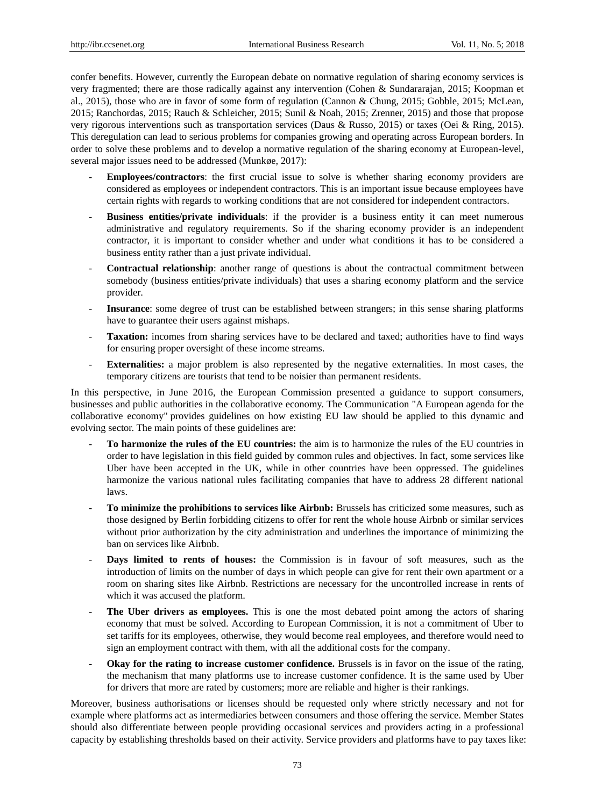confer benefits. However, currently the European debate on normative regulation of sharing economy services is very fragmented; there are those radically against any intervention (Cohen & Sundararajan, 2015; Koopman et al., 2015), those who are in favor of some form of regulation (Cannon & Chung, 2015; Gobble, 2015; McLean, 2015; Ranchordas, 2015; Rauch & Schleicher, 2015; Sunil & Noah, 2015; Zrenner, 2015) and those that propose very rigorous interventions such as transportation services (Daus & Russo, 2015) or taxes (Oei & Ring, 2015). This deregulation can lead to serious problems for companies growing and operating across European borders. In order to solve these problems and to develop a normative regulation of the sharing economy at European-level, several major issues need to be addressed (Munk øe, 2017):

- **Employees/contractors**: the first crucial issue to solve is whether sharing economy providers are considered as employees or independent contractors. This is an important issue because employees have certain rights with regards to working conditions that are not considered for independent contractors.
- **Business entities/private individuals**: if the provider is a business entity it can meet numerous administrative and regulatory requirements. So if the sharing economy provider is an independent contractor, it is important to consider whether and under what conditions it has to be considered a business entity rather than a just private individual.
- **Contractual relationship**: another range of questions is about the contractual commitment between somebody (business entities/private individuals) that uses a sharing economy platform and the service provider.
- **Insurance**: some degree of trust can be established between strangers; in this sense sharing platforms have to guarantee their users against mishaps.
- Taxation: incomes from sharing services have to be declared and taxed; authorities have to find ways for ensuring proper oversight of these income streams.
- **Externalities:** a major problem is also represented by the negative externalities. In most cases, the temporary citizens are tourists that tend to be noisier than permanent residents.

In this perspective, in June 2016, the European Commission presented a guidance to support consumers, businesses and public authorities in the collaborative economy. The Communication "A European agenda for the collaborative economy" provides guidelines on how existing EU law should be applied to this dynamic and evolving sector. The main points of these guidelines are:

- **To harmonize the rules of the EU countries:** the aim is to harmonize the rules of the EU countries in order to have legislation in this field guided by common rules and objectives. In fact, some services like Uber have been accepted in the UK, while in other countries have been oppressed. The guidelines harmonize the various national rules facilitating companies that have to address 28 different national laws.
- **To minimize the prohibitions to services like Airbnb:** Brussels has criticized some measures, such as those designed by Berlin forbidding citizens to offer for rent the whole house Airbnb or similar services without prior authorization by the city administration and underlines the importance of minimizing the ban on services like Airbnb.
- **Days limited to rents of houses:** the Commission is in favour of soft measures, such as the introduction of limits on the number of days in which people can give for rent their own apartment or a room on sharing sites like Airbnb. Restrictions are necessary for the uncontrolled increase in rents of which it was accused the platform.
- The Uber drivers as employees. This is one the most debated point among the actors of sharing economy that must be solved. According to European Commission, it is not a commitment of Uber to set tariffs for its employees, otherwise, they would become real employees, and therefore would need to sign an employment contract with them, with all the additional costs for the company.
- **Okay for the rating to increase customer confidence.** Brussels is in favor on the issue of the rating, the mechanism that many platforms use to increase customer confidence. It is the same used by Uber for drivers that more are rated by customers; more are reliable and higher is their rankings.

Moreover, business authorisations or licenses should be requested only where strictly necessary and not for example where platforms act as intermediaries between consumers and those offering the service. Member States should also differentiate between people providing occasional services and providers acting in a professional capacity by establishing thresholds based on their activity. Service providers and platforms have to pay taxes like: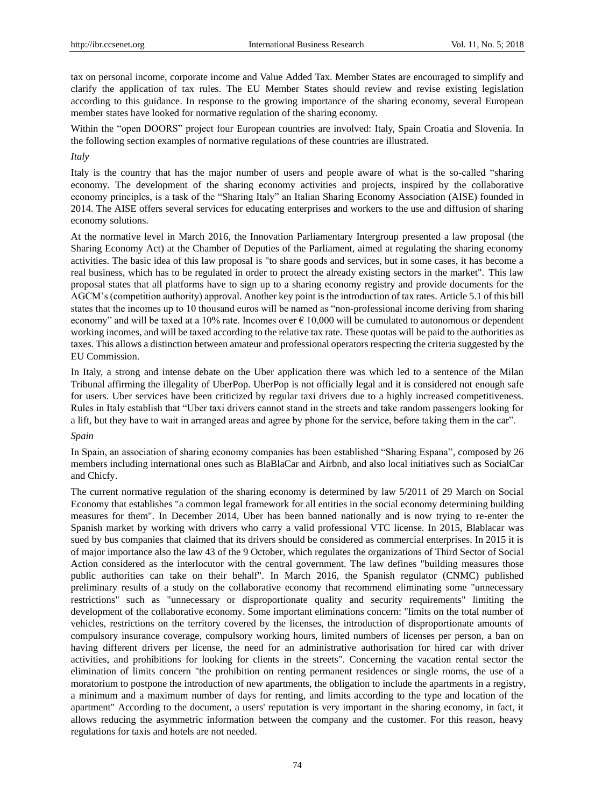tax on personal income, corporate income and Value Added Tax. Member States are encouraged to simplify and clarify the application of tax rules. The EU Member States should review and revise existing legislation according to this guidance. In response to the growing importance of the sharing economy, several European member states have looked for normative regulation of the sharing economy.

Within the "open DOORS" project four European countries are involved: Italy, Spain Croatia and Slovenia. In the following section examples of normative regulations of these countries are illustrated.

## *Italy*

Italy is the country that has the major number of users and people aware of what is the so-called "sharing economy. The development of the sharing economy activities and projects, inspired by the collaborative economy principles, is a task of the "Sharing Italy" an Italian Sharing Economy Association (AISE) founded in 2014. The AISE offers several services for educating enterprises and workers to the use and diffusion of sharing economy solutions.

At the normative level in March 2016, the Innovation Parliamentary Intergroup presented a law proposal (the Sharing Economy Act) at the Chamber of Deputies of the Parliament, aimed at regulating the sharing economy activities. The basic idea of this law proposal is "to share goods and services, but in some cases, it has become a real business, which has to be regulated in order to protect the already existing sectors in the market". This law proposal states that all platforms have to sign up to a sharing economy registry and provide documents for the AGCM's (competition authority) approval. Another key point is the introduction of tax rates. Article 5.1 of this bill states that the incomes up to 10 thousand euros will be named as "non-professional income deriving from sharing economy" and will be taxed at a 10% rate. Incomes over  $\epsilon$  10,000 will be cumulated to autonomous or dependent working incomes, and will be taxed according to the relative tax rate. These quotas will be paid to the authorities as taxes. This allows a distinction between amateur and professional operators respecting the criteria suggested by the EU Commission.

In Italy, a strong and intense debate on the Uber application there was which led to a sentence of the Milan Tribunal affirming the illegality of UberPop. UberPop is not officially legal and it is considered not enough safe for users. Uber services have been criticized by regular taxi drivers due to a highly increased competitiveness. Rules in Italy establish that "Uber taxi drivers cannot stand in the streets and take random passengers looking for a lift, but they have to wait in arranged areas and agree by phone for the service, before taking them in the car".

### *Spain*

In Spain, an association of sharing economy companies has been established "Sharing Espana", composed by 26 members including international ones such as BlaBlaCar and Airbnb, and also local initiatives such as SocialCar and Chicfy.

The current normative regulation of the sharing economy is determined by law 5/2011 of 29 March on Social Economy that establishes "a common legal framework for all entities in the social economy determining building measures for them". In December 2014, Uber has been banned nationally and is now trying to re-enter the Spanish market by working with drivers who carry a valid professional VTC license. In 2015, Blablacar was sued by bus companies that claimed that its drivers should be considered as commercial enterprises. In 2015 it is of major importance also the law 43 of the 9 October, which regulates the organizations of Third Sector of Social Action considered as the interlocutor with the central government. The law defines "building measures those public authorities can take on their behalf". In March 2016, the Spanish regulator (CNMC) published preliminary results of a study on the collaborative economy that recommend eliminating some "unnecessary restrictions" such as "unnecessary or disproportionate quality and security requirements" limiting the development of the collaborative economy. Some important eliminations concern: "limits on the total number of vehicles, restrictions on the territory covered by the licenses, the introduction of disproportionate amounts of compulsory insurance coverage, compulsory working hours, limited numbers of licenses per person, a ban on having different drivers per license, the need for an administrative authorisation for hired car with driver activities, and prohibitions for looking for clients in the streets". Concerning the vacation rental sector the elimination of limits concern "the prohibition on renting permanent residences or single rooms, the use of a moratorium to postpone the introduction of new apartments, the obligation to include the apartments in a registry, a minimum and a maximum number of days for renting, and limits according to the type and location of the apartment" According to the document, a users' reputation is very important in the sharing economy, in fact, it allows reducing the asymmetric information between the company and the customer. For this reason, heavy regulations for taxis and hotels are not needed.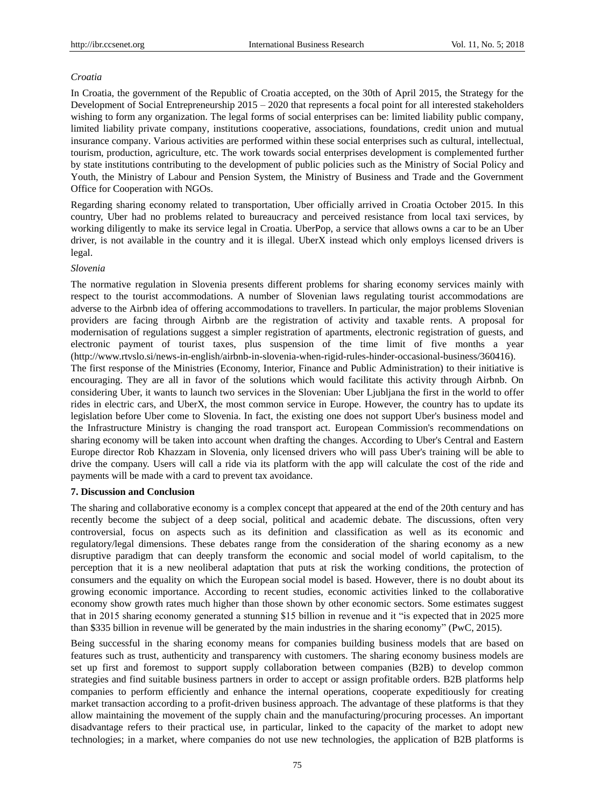### *Croatia*

In Croatia, the government of the Republic of Croatia accepted, on the 30th of April 2015, the Strategy for the Development of Social Entrepreneurship 2015 – 2020 that represents a focal point for all interested stakeholders wishing to form any organization. The legal forms of social enterprises can be: limited liability public company, limited liability private company, institutions cooperative, associations, foundations, credit union and mutual insurance company. Various activities are performed within these social enterprises such as cultural, intellectual, tourism, production, agriculture, etc. The work towards social enterprises development is complemented further by state institutions contributing to the development of public policies such as the Ministry of Social Policy and Youth, the Ministry of Labour and Pension System, the Ministry of Business and Trade and the Government Office for Cooperation with NGOs.

Regarding sharing economy related to transportation, Uber officially arrived in Croatia October 2015. In this country, Uber had no problems related to bureaucracy and perceived resistance from local taxi services, by working diligently to make its service legal in Croatia. UberPop, a service that allows owns a car to be an Uber driver, is not available in the country and it is illegal. UberX instead which only employs licensed drivers is legal.

### *Slovenia*

The normative regulation in Slovenia presents different problems for sharing economy services mainly with respect to the tourist accommodations. A number of Slovenian laws regulating tourist accommodations are adverse to the Airbnb idea of offering accommodations to travellers. In particular, the major problems Slovenian providers are facing through Airbnb are the registration of activity and taxable rents. A proposal for modernisation of regulations suggest a simpler registration of apartments, electronic registration of guests, and electronic payment of tourist taxes, plus suspension of the time limit of five months a year (http://www.rtvslo.si/news-in-english/airbnb-in-slovenia-when-rigid-rules-hinder-occasional-business/360416). The first response of the Ministries (Economy, Interior, Finance and Public Administration) to their initiative is

encouraging. They are all in favor of the solutions which would facilitate this activity through Airbnb. On considering Uber, it wants to launch two services in the Slovenian: Uber Ljubljana the first in the world to offer rides in electric cars, and UberX, the most common service in Europe. However, the country has to update its legislation before Uber come to Slovenia. In fact, the existing one does not support Uber's business model and the Infrastructure Ministry is changing the road transport act. European Commission's recommendations on sharing economy will be taken into account when drafting the changes. According to Uber's Central and Eastern Europe director Rob Khazzam in Slovenia, only licensed drivers who will pass Uber's training will be able to drive the company. Users will call a ride via its platform with the app will calculate the cost of the ride and payments will be made with a card to prevent tax avoidance.

# **7. Discussion and Conclusion**

The sharing and collaborative economy is a complex concept that appeared at the end of the 20th century and has recently become the subject of a deep social, political and academic debate. The discussions, often very controversial, focus on aspects such as its definition and classification as well as its economic and regulatory/legal dimensions. These debates range from the consideration of the sharing economy as a new disruptive paradigm that can deeply transform the economic and social model of world capitalism, to the perception that it is a new neoliberal adaptation that puts at risk the working conditions, the protection of consumers and the equality on which the European social model is based. However, there is no doubt about its growing economic importance. According to recent studies, economic activities linked to the collaborative economy show growth rates much higher than those shown by other economic sectors. Some estimates suggest that in 2015 sharing economy generated a stunning \$15 billion in revenue and it "is expected that in 2025 more than \$335 billion in revenue will be generated by the main industries in the sharing economy" (PwC, 2015).

Being successful in the sharing economy means for companies building business models that are based on features such as trust, authenticity and transparency with customers. The sharing economy business models are set up first and foremost to support supply collaboration between companies (B2B) to develop common strategies and find suitable business partners in order to accept or assign profitable orders. B2B platforms help companies to perform efficiently and enhance the internal operations, cooperate expeditiously for creating market transaction according to a profit-driven business approach. The advantage of these platforms is that they allow maintaining the movement of the supply chain and the manufacturing/procuring processes. An important disadvantage refers to their practical use, in particular, linked to the capacity of the market to adopt new technologies; in a market, where companies do not use new technologies, the application of B2B platforms is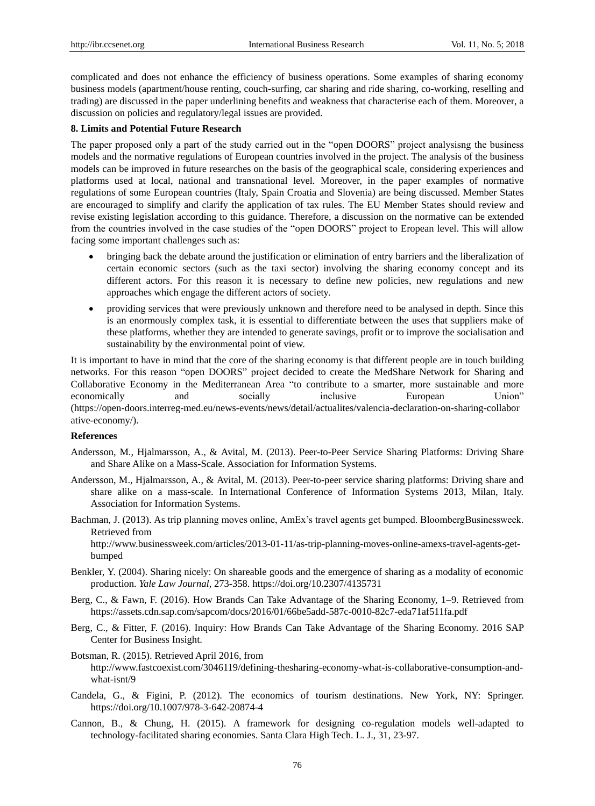complicated and does not enhance the efficiency of business operations. Some examples of sharing economy business models (apartment/house renting, couch-surfing, car sharing and ride sharing, co-working, reselling and trading) are discussed in the paper underlining benefits and weakness that characterise each of them. Moreover, a discussion on policies and regulatory/legal issues are provided.

#### **8. Limits and Potential Future Research**

The paper proposed only a part of the study carried out in the "open DOORS" project analysisng the business models and the normative regulations of European countries involved in the project. The analysis of the business models can be improved in future researches on the basis of the geographical scale, considering experiences and platforms used at local, national and transnational level. Moreover, in the paper examples of normative regulations of some European countries (Italy, Spain Croatia and Slovenia) are being discussed. Member States are encouraged to simplify and clarify the application of tax rules. The EU Member States should review and revise existing legislation according to this guidance. Therefore, a discussion on the normative can be extended from the countries involved in the case studies of the "open DOORS" project to Eropean level. This will allow facing some important challenges such as:

- bringing back the debate around the justification or elimination of entry barriers and the liberalization of certain economic sectors (such as the taxi sector) involving the sharing economy concept and its different actors. For this reason it is necessary to define new policies, new regulations and new approaches which engage the different actors of society.
- providing services that were previously unknown and therefore need to be analysed in depth. Since this is an enormously complex task, it is essential to differentiate between the uses that suppliers make of these platforms, whether they are intended to generate savings, profit or to improve the socialisation and sustainability by the environmental point of view.

It is important to have in mind that the core of the sharing economy is that different people are in touch building networks. For this reason "open DOORS" project decided to create the MedShare Network for Sharing and Collaborative Economy in the Mediterranean Area "to contribute to a smarter, more sustainable and more economically and socially inclusive European Union" [\(https://open-doors.interreg-med.eu/news-events/news/detail/actualites/valencia-declaration-on-sharing-collabor](https://open-doors.interreg-med.eu/news-events/news/detail/actualites/valencia-declaration-on-sharing-collaborative-economy/) [ative-economy/\)](https://open-doors.interreg-med.eu/news-events/news/detail/actualites/valencia-declaration-on-sharing-collaborative-economy/).

## **References**

- Andersson, M., Hjalmarsson, A., & Avital, M. (2013). Peer-to-Peer Service Sharing Platforms: Driving Share and Share Alike on a Mass-Scale. Association for Information Systems.
- Andersson, M., Hjalmarsson, A., & Avital, M. (2013). Peer-to-peer service sharing platforms: Driving share and share alike on a mass-scale. In International Conference of Information Systems 2013, Milan, Italy. Association for Information Systems.
- Bachman, J. (2013). As trip planning moves online, AmEx's travel agents get bumped. BloombergBusinessweek. Retrieved from

[http://www.businessweek.com/articles/2013-01-11/as-trip-planning-moves-online-amexs-travel-agents-get](http://www.businessweek.com/articles/2013-01-11/as-trip-planning-moves-online-amexs-travel-agents-get-bumped)[bumped](http://www.businessweek.com/articles/2013-01-11/as-trip-planning-moves-online-amexs-travel-agents-get-bumped)

- Benkler, Y. (2004). Sharing nicely: On shareable goods and the emergence of sharing as a modality of economic production. *Yale Law Journal,* 273-358. https://doi.org/10.2307/4135731
- Berg, C., & Fawn, F. (2016). How Brands Can Take Advantage of the Sharing Economy, 1–9. Retrieved from https://assets.cdn.sap.com/sapcom/docs/2016/01/66be5add-587c-0010-82c7-eda71af511fa.pdf
- Berg, C., & Fitter, F. (2016). Inquiry: How Brands Can Take Advantage of the Sharing Economy. 2016 SAP Center for Business Insight.

Botsman, R. (2015). Retrieved April 2016, from [http://www.fastcoexist.com/3046119/defining-thesharing-economy-what-is-collaborative-consumption-and](http://www.fastcoexist.com/3046119/defining-thesharing-economy-what-is-collaborative-consumption-and-what-isnt/9)[what-isnt/9](http://www.fastcoexist.com/3046119/defining-thesharing-economy-what-is-collaborative-consumption-and-what-isnt/9)

- Candela, G., & Figini, P. (2012). The economics of tourism destinations. New York, NY: Springer. https://doi.org/10.1007/978-3-642-20874-4
- Cannon, B., & Chung, H. (2015). A framework for designing co-regulation models well-adapted to technology-facilitated sharing economies. Santa Clara High Tech. L. J., 31, 23-97.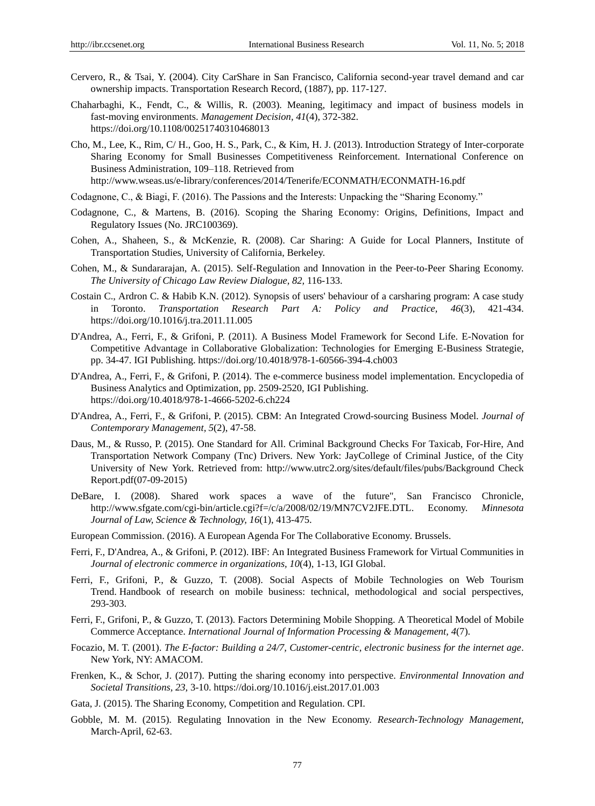- Cervero, R., & Tsai, Y. (2004). City CarShare in San Francisco, California second-year travel demand and car ownership impacts. Transportation Research Record, (1887), pp. 117-127.
- Chaharbaghi, K., Fendt, C., & Willis, R. (2003). Meaning, legitimacy and impact of business models in fast-moving environments. *Management Decision, 41*(4), 372-382. https://doi.org/10.1108/00251740310468013
- Cho, M., Lee, K., Rim, C/ H., Goo, H. S., Park, C., & Kim, H. J. (2013). Introduction Strategy of Inter-corporate Sharing Economy for Small Businesses Competitiveness Reinforcement. International Conference on Business Administration, 109–118. Retrieved from http://www.wseas.us/e-library/conferences/2014/Tenerife/ECONMATH/ECONMATH-16.pdf
- Codagnone, C.,  $\&$  Biagi, F. (2016). The Passions and the Interests: Unpacking the "Sharing Economy."
- Codagnone, C., & Martens, B. (2016). Scoping the Sharing Economy: Origins, Definitions, Impact and Regulatory Issues (No. JRC100369).
- Cohen, A., Shaheen, S., & McKenzie, R. (2008). Car Sharing: A Guide for Local Planners, Institute of Transportation Studies, University of California, Berkeley.
- Cohen, M., & Sundararajan, A. (2015). Self-Regulation and Innovation in the Peer-to-Peer Sharing Economy. *The University of Chicago Law Review Dialogue, 82,* 116-133.
- Costain C., Ardron C. & Habib K.N. (2012). Synopsis of users' behaviour of a carsharing program: A case study in Toronto. *Transportation Research Part A: Policy and Practice, 46*(3), 421-434. https://doi.org/10.1016/j.tra.2011.11.005
- D'Andrea, A., Ferri, F., & Grifoni, P. (2011). A Business Model Framework for Second Life. E-Novation for Competitive Advantage in Collaborative Globalization: Technologies for Emerging E-Business Strategie, pp. 34-47. IGI Publishing. https://doi.org/10.4018/978-1-60566-394-4.ch003
- D'Andrea, A., Ferri, F., & Grifoni, P. (2014). The e-commerce business model implementation. Encyclopedia of Business Analytics and Optimization, pp. 2509-2520, IGI Publishing. https://doi.org/10.4018/978-1-4666-5202-6.ch224
- D'Andrea, A., Ferri, F., & Grifoni, P. (2015). CBM: An Integrated Crowd-sourcing Business Model. *Journal of Contemporary Management, 5*(2), 47-58.
- Daus, M., & Russo, P. (2015). One Standard for All. Criminal Background Checks For Taxicab, For-Hire, And Transportation Network Company (Tnc) Drivers. New York: JayCollege of Criminal Justice, of the City University of New York. Retrieved from: http://www.utrc2.org/sites/default/files/pubs/Background Check Report.pdf(07-09-2015)
- DeBare, I. (2008). Shared work spaces a wave of the future", San Francisco Chronicle, [http://www.sfgate.com/cgi-bin/article.cgi?f=/c/a/2008/02/19/MN7CV2JFE.DTL.](http://www.sfgate.com/cgi-bin/article.cgi?f=/c/a/2008/02/19/MN7CV2JFE.DTL) Economy. *Minnesota Journal of Law, Science & Technology, 16*(1), 413-475.
- European Commission. (2016). A European Agenda For The Collaborative Economy. Brussels.
- Ferri, F., D'Andrea, A., & Grifoni, P. (2012). IBF: An Integrated Business Framework for Virtual Communities in *Journal of electronic commerce in organizations, 10*(4), 1-13, IGI Global.
- Ferri, F., Grifoni, P., & Guzzo, T. (2008). Social Aspects of Mobile Technologies on Web Tourism Trend. Handbook of research on mobile business: technical, methodological and social perspectives, 293-303.
- Ferri, F., Grifoni, P., & Guzzo, T. (2013). Factors Determining Mobile Shopping. A Theoretical Model of Mobile Commerce Acceptance. *International Journal of Information Processing & Management, 4*(7).
- Focazio, M. T. (2001). *The E-factor: Building a 24/7, Customer-centric, electronic business for the internet age*. New York, NY: AMACOM.
- Frenken, K., & Schor, J. (2017). Putting the sharing economy into perspective. *Environmental Innovation and Societal Transitions, 23,* 3-10. https://doi.org/10.1016/j.eist.2017.01.003
- Gata, J. (2015). The Sharing Economy, Competition and Regulation. CPI.
- Gobble, M. M. (2015). Regulating Innovation in the New Economy. *Research-Technology Management,*  March-April, 62-63.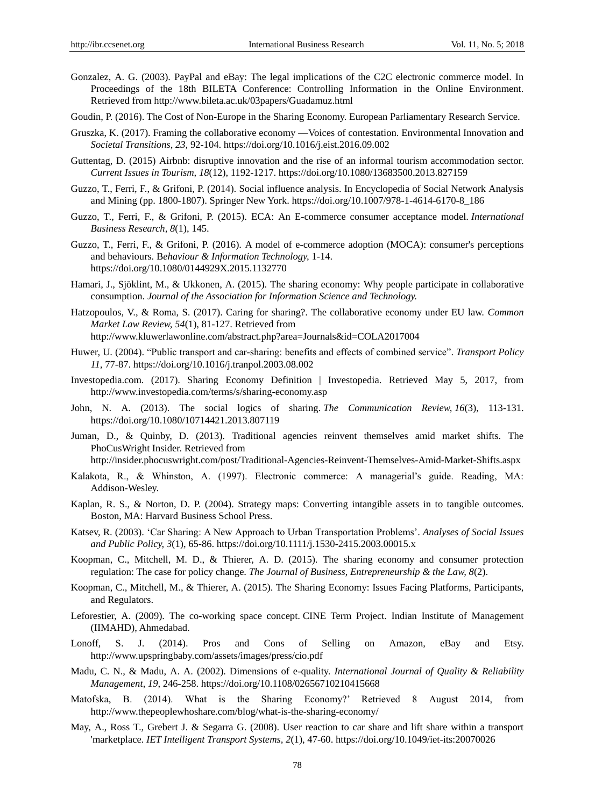- Gonzalez, A. G. (2003). PayPal and eBay: The legal implications of the C2C electronic commerce model. In Proceedings of the 18th BILETA Conference: Controlling Information in the Online Environment. Retrieved from<http://www.bileta.ac.uk/03papers/Guadamuz.html>
- Goudin, P. (2016). The Cost of Non-Europe in the Sharing Economy. European Parliamentary Research Service.
- Gruszka, K. (2017). Framing the collaborative economy —Voices of contestation. Environmental Innovation and *Societal Transitions, 23,* 92-104. https://doi.org/10.1016/j.eist.2016.09.002
- Guttentag, D. (2015) Airbnb: disruptive innovation and the rise of an informal tourism accommodation sector. *Current Issues in Tourism, 18*(12), 1192-1217. https://doi.org/10.1080/13683500.2013.827159
- Guzzo, T., Ferri, F., & Grifoni, P. (2014). Social influence analysis. In Encyclopedia of Social Network Analysis and Mining (pp. 1800-1807). Springer New York. https://doi.org/10.1007/978-1-4614-6170-8\_186
- Guzzo, T., Ferri, F., & Grifoni, P. (2015). ECA: An E-commerce consumer acceptance model. *International Business Research, 8*(1), 145.
- Guzzo, T., Ferri, F., & Grifoni, P. (2016). A model of e-commerce adoption (MOCA): consumer's perceptions and behaviours. B*ehaviour & Information Technology,* 1-14. https://doi.org/10.1080/0144929X.2015.1132770
- Hamari, J., Sjöklint, M., & Ukkonen, A. (2015). The sharing economy: Why people participate in collaborative consumption. *Journal of the Association for Information Science and Technology.*
- Hatzopoulos, V., & Roma, S. (2017). Caring for sharing?. The collaborative economy under EU law. *Common Market Law Review, 54*(1), 81-127. Retrieved from http://www.kluwerlawonline.com/abstract.php?area=Journals&id=COLA2017004
- Huwer, U. (2004). "Public transport and car-sharing: benefits and effects of combined service". *Transport Policy 11,* 77-87. https://doi.org/10.1016/j.tranpol.2003.08.002
- Investopedia.com. (2017). Sharing Economy Definition | Investopedia. Retrieved May 5, 2017, from http://www.investopedia.com/terms/s/sharing-economy.asp
- John, N. A. (2013). The social logics of sharing. *The Communication Review, 16*(3), 113-131. https://doi.org/10.1080/10714421.2013.807119
- Juman, D., & Quinby, D. (2013). Traditional agencies reinvent themselves amid market shifts. The PhoCusWright Insider. Retrieved from

http://insider.phocuswright.com/post/Traditional-Agencies-Reinvent-Themselves-Amid-Market-Shifts.aspx

- Kalakota, R., & Whinston, A. (1997). Electronic commerce: A managerial's guide. Reading, MA: Addison-Wesley.
- Kaplan, R. S., & Norton, D. P. (2004). Strategy maps: Converting intangible assets in to tangible outcomes. Boston, MA: Harvard Business School Press.
- Katsev, R. (2003). ‗Car Sharing: A New Approach to Urban Transportation Problems'. *Analyses of Social Issues and Public Policy, 3*(1), 65-86. https://doi.org/10.1111/j.1530-2415.2003.00015.x
- Koopman, C., Mitchell, M. D., & Thierer, A. D. (2015). The sharing economy and consumer protection regulation: The case for policy change. *The Journal of Business, Entrepreneurship & the Law, 8*(2).
- Koopman, C., Mitchell, M., & Thierer, A. (2015). The Sharing Economy: Issues Facing Platforms, Participants, and Regulators.
- Leforestier, A. (2009). The co-working space concept. CINE Term Project. Indian Institute of Management (IIMAHD), Ahmedabad.
- Lonoff, S. J. (2014). Pros and Cons of Selling on Amazon, eBay and Etsy. <http://www.upspringbaby.com/assets/images/press/cio.pdf>
- Madu, C. N., & Madu, A. A. (2002). Dimensions of e-quality. *International Journal of Quality & Reliability Management*, *19*, 246-258. https://doi.org/10.1108/02656710210415668
- Matofska, B. (2014). What is the Sharing Economy?' Retrieved 8 August 2014, from http://www.thepeoplewhoshare.com/blog/what-is-the-sharing-economy/
- May, A., Ross T., Grebert J. & Segarra G. (2008). User reaction to car share and lift share within a transport 'marketplace. *IET Intelligent Transport Systems, 2*(1), 47-60. https://doi.org/10.1049/iet-its:20070026